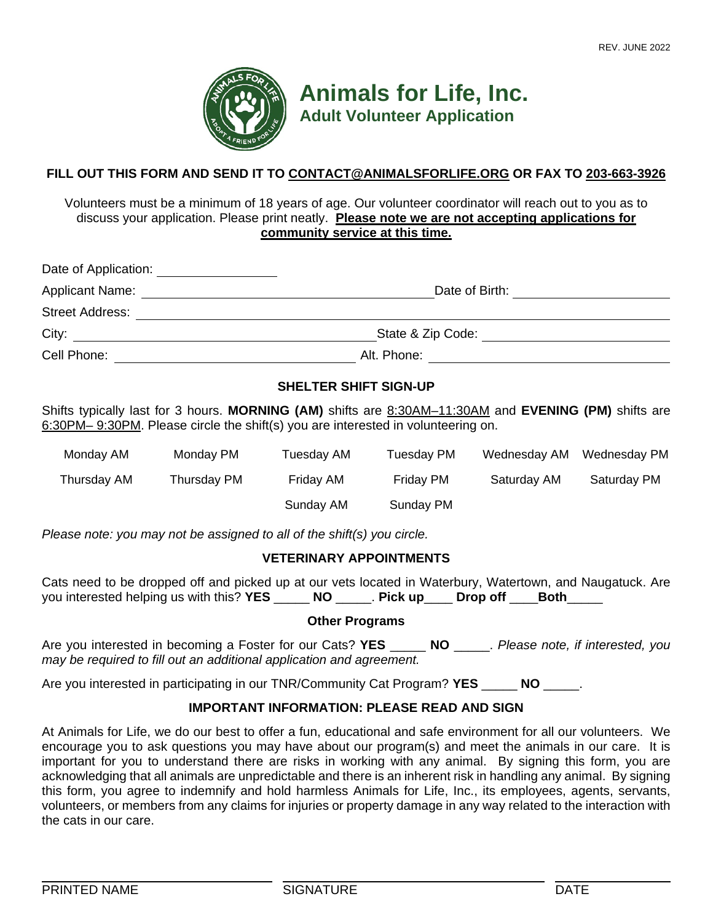

**Animals for Life, Inc. Adult Volunteer Application**

## **FILL OUT THIS FORM AND SEND IT TO CONTACT@ANIMALSFORLIFE.ORG OR FAX TO 203-663-3926**

Volunteers must be a minimum of 18 years of age. Our volunteer coordinator will reach out to you as to discuss your application. Please print neatly. **Please note we are not accepting applications for community service at this time.**

| Date of Application:   |                   |  |  |  |
|------------------------|-------------------|--|--|--|
| <b>Applicant Name:</b> | Date of Birth:    |  |  |  |
| <b>Street Address:</b> |                   |  |  |  |
| City:                  | State & Zip Code: |  |  |  |
| Cell Phone:            | Alt. Phone:       |  |  |  |

## **SHELTER SHIFT SIGN-UP**

Shifts typically last for 3 hours. **MORNING (AM)** shifts are 8:30AM–11:30AM and **EVENING (PM)** shifts are 6:30PM– 9:30PM. Please circle the shift(s) you are interested in volunteering on.

| Monday AM   | Monday PM   | Tuesday AM | Tuesday PM | Wednesday AM | Wednesday PM |
|-------------|-------------|------------|------------|--------------|--------------|
| Thursday AM | Thursday PM | Friday AM  | Friday PM  | Saturday AM  | Saturday PM  |
|             |             | Sunday AM  | Sunday PM  |              |              |

*Please note: you may not be assigned to all of the shift(s) you circle.*

## **VETERINARY APPOINTMENTS**

Cats need to be dropped off and picked up at our vets located in Waterbury, Watertown, and Naugatuck. Are you interested helping us with this? **YES** \_\_\_\_\_ **NO** \_\_\_\_\_. **Pick up**\_\_\_\_ **Drop off** \_\_\_\_**Both**\_\_\_\_\_

#### **Other Programs**

Are you interested in becoming a Foster for our Cats? **YES** \_\_\_\_\_ **NO** \_\_\_\_\_. *Please note, if interested, you may be required to fill out an additional application and agreement.* 

Are you interested in participating in our TNR/Community Cat Program? **YES** \_\_\_\_\_ **NO** \_\_\_\_\_.

### **IMPORTANT INFORMATION: PLEASE READ AND SIGN**

At Animals for Life, we do our best to offer a fun, educational and safe environment for all our volunteers. We encourage you to ask questions you may have about our program(s) and meet the animals in our care. It is important for you to understand there are risks in working with any animal. By signing this form, you are acknowledging that all animals are unpredictable and there is an inherent risk in handling any animal. By signing this form, you agree to indemnify and hold harmless Animals for Life, Inc., its employees, agents, servants, volunteers, or members from any claims for injuries or property damage in any way related to the interaction with the cats in our care.